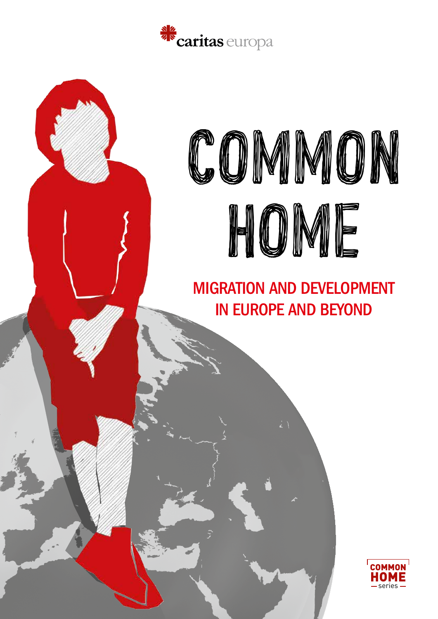

# COMMON HOME

### MIGRATION AND DEVELOPMENT IN EUROPE AND BEYOND

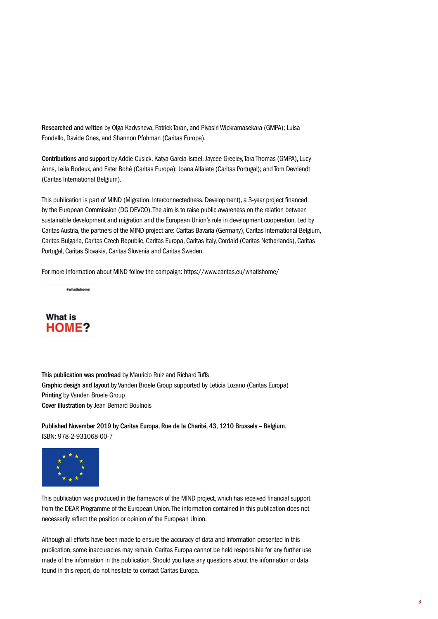Researched and written by Olga Kadysheva, Patrick Taran, and Piyasiri Wickramasekara (GMPA); Luisa Fondello, Davide Gnes, and Shannon Pfohman (Caritas Europa).

Contributions and support by Addie Cusick, Katya Garcia-Israel, Jaycee Greeley, Tara Thomas (GMPA), Lucy Anns, Leila Bodeux, and Ester Bohé (Caritas Europa); Joana Alfaiate (Caritas Portugal); and Tom Devriendt (Caritas International Belgium).

This publication is part of MIND (Migration. Interconnectedness. Development), a 3-year project financed by the European Commission (DG DEVCO). The aim is to raise public awareness on the relation between sustainable development and migration and the European Union's role in development cooperation. Led by Caritas Austria, the partners of the MIND project are: Caritas Bavaria (Germany), Caritas International Belgium, Caritas Bulgaria, Caritas Czech Republic, Caritas Europa, Caritas Italy, Cordaid (Caritas Netherlands), Caritas Portugal, Caritas Slovakia, Caritas Slovenia and Caritas Sweden.

For more information about MIND follow the campaign: https://www.caritas.eu/whatishome/



This publication was proofread by Mauricio Ruiz and Richard Tuffs Graphic design and layout by Vanden Broele Group supported by Leticia Lozano (Caritas Europa) Printing by Vanden Broele Group Cover illustration by Jean Bernard Boulnois

Published November 2019 by Caritas Europa, Rue de la Charité, 43, 1210 Brussels – Belgium. ISBN: 978-2-931068-00-7



This publication was produced in the framework of the MIND project, which has received financial support from the DEAR Programme of the European Union. The information contained in this publication does not necessarily reflect the position or opinion of the European Union.

Although all efforts have been made to ensure the accuracy of data and information presented in this publication, some inaccuracies may remain. Caritas Europa cannot be held responsible for any further use made of the information in the publication. Should you have any questions about the information or data found in this report, do not hesitate to contact Caritas Europa.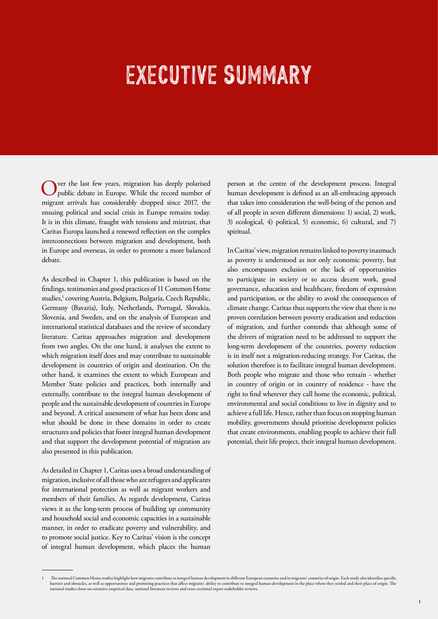## EXECUTIVE SUMMARY

ver the last few years, migration has deeply polarised public debate in Europe. While the record number of migrant arrivals has considerably dropped since 2017, the ensuing political and social crisis in Europe remains today. It is in this climate, fraught with tensions and mistrust, that Caritas Europa launched a renewed reflection on the complex interconnections between migration and development, both in Europe and overseas, in order to promote a more balanced debate.

As described in Chapter 1, this publication is based on the findings, testimonies and good practices of 11 Common Home studies,<sup>1</sup> covering Austria, Belgium, Bulgaria, Czech Republic, Germany (Bavaria), Italy, Netherlands, Portugal, Slovakia, Slovenia, and Sweden, and on the analysis of European and international statistical databases and the review of secondary literature. Caritas approaches migration and development from two angles. On the one hand, it analyses the extent to which migration itself does and may contribute to sustainable development in countries of origin and destination. On the other hand, it examines the extent to which European and Member State policies and practices, both internally and externally, contribute to the integral human development of people and the sustainable development of countries in Europe and beyond. A critical assessment of what has been done and what should be done in these domains in order to create structures and policies that foster integral human development and that support the development potential of migration are also presented in this publication.

As detailed in Chapter 1, Caritas uses a broad understanding of migration, inclusive of all those who are refugees and applicants for international protection as well as migrant workers and members of their families. As regards development, Caritas views it as the long-term process of building up community and household social and economic capacities in a sustainable manner, in order to eradicate poverty and vulnerability, and to promote social justice. Key to Caritas' vision is the concept of integral human development, which places the human

person at the centre of the development process. Integral human development is defined as an all-embracing approach that takes into consideration the well-being of the person and of all people in seven different dimensions: 1) social, 2) work, 3) ecological, 4) political, 5) economic, 6) cultural, and 7) spiritual.

In Caritas' view, migration remains linked to poverty inasmuch as poverty is understood as not only economic poverty, but also encompasses exclusion or the lack of opportunities to participate in society or to access decent work, good governance, education and healthcare, freedom of expression and participation, or the ability to avoid the consequences of climate change. Caritas thus supports the view that there is no proven correlation between poverty eradication and reduction of migration, and further contends that although some of the drivers of migration need to be addressed to support the long-term development of the countries, poverty reduction is in itself not a migration-reducing strategy. For Caritas, the solution therefore is to facilitate integral human development. Both people who migrate and those who remain - whether in country of origin or in country of residence - have the right to find wherever they call home the economic, political, environmental and social conditions to live in dignity and to achieve a full life. Hence, rather than focus on stopping human mobility, governments should prioritise development policies that create environments, enabling people to achieve their full potential, their life project, their integral human development.

<sup>1</sup> The national Common Home studies highlight how migrants contribute to integral human development in different European countries and in migrants' countries of origin. Each study also identifies specific barriers and obstacles, as well as opportunities and promising practices that affect migrants' ability to contribute to integral human development in the place where they settled and their place of origin. The<br>national stu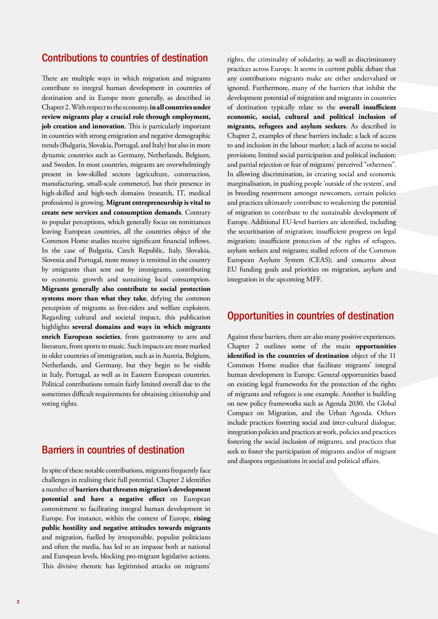#### Contributions to countries of destination

There are multiple ways in which migration and migrants contribute to integral human development in countries of destination and in Europe more generally, as described in Chapter 2. With respect to the economy, **in all countries under review migrants play a crucial role through employment, job creation and innovation**. This is particularly important in countries with strong emigration and negative demographic trends (Bulgaria, Slovakia, Portugal, and Italy) but also in more dynamic countries such as Germany, Netherlands, Belgium, and Sweden. In most countries, migrants are overwhelmingly present in low-skilled sectors (agriculture, construction, manufacturing, small-scale commerce), but their presence in high-skilled and high-tech domains (research, IT, medical professions) is growing. **Migrant entrepreneurship is vital to create new services and consumption demands**. Contrary to popular perceptions, which generally focus on remittances leaving European countries, all the countries object of the Common Home studies receive significant financial inflows. In the case of Bulgaria, Czech Republic, Italy, Slovakia, Slovenia and Portugal, more money is remitted in the country by emigrants than sent out by immigrants, contributing to economic growth and sustaining local consumption. **Migrants generally also contribute to social protection systems more than what they take**, defying the common perception of migrants as free-riders and welfare exploiters. Regarding cultural and societal impact, this publication highlights **several domains and ways in which migrants enrich European societies**, from gastronomy to arts and literature, from sports to music. Such impacts are more marked in older countries of immigration, such as in Austria, Belgium, Netherlands, and Germany, but they begin to be visible in Italy, Portugal, as well as in Eastern European countries. Political contributions remain fairly limited overall due to the sometimes difficult requirements for obtaining citizenship and voting rights.

#### Barriers in countries of destination

In spite of these notable contributions, migrants frequently face challenges in realising their full potential. Chapter 2 identifies a number of **barriers that threaten migration's development potential and have a negative effect** on European commitment to facilitating integral human development in Europe. For instance, within the context of Europe, **rising public hostility and negative attitudes towards migrants** and migration, fuelled by irresponsible, populist politicians and often the media, has led to an impasse both at national and European levels, blocking pro-migrant legislative actions. This divisive rhetoric has legitimised attacks on migrants'

rights, the criminality of solidarity, as well as discriminatory practices across Europe. It seems in current public debate that any contributions migrants make are either undervalued or ignored. Furthermore, many of the barriers that inhibit the development potential of migration and migrants in countries of destination typically relate to the **overall insufficient economic, social, cultural and political inclusion of migrants, refugees and asylum seekers**. As described in Chapter 2, examples of these barriers include: a lack of access to and inclusion in the labour market; a lack of access to social provisions; limited social participation and political inclusion; and partial rejection or fear of migrants' perceived "otherness". In allowing discrimination, in creating social and economic marginalisation, in pushing people 'outside of the system', and in breeding resentment amongst newcomers, certain policies and practices ultimately contribute to weakening the potential of migration to contribute to the sustainable development of Europe. Additional EU-level barriers are identified, including the securitisation of migration; insufficient progress on legal migration; insufficient protection of the rights of refugees, asylum seekers and migrants; stalled reform of the Common European Asylum System (CEAS); and concerns about EU funding goals and priorities on migration, asylum and integration in the upcoming MFF.

#### Opportunities in countries of destination

Against these barriers, there are also many positive experiences. Chapter 2 outlines some of the main **opportunities identified in the countries of destination** object of the 11 Common Home studies that facilitate migrants' integral human development in Europe. General opportunities based on existing legal frameworks for the protection of the rights of migrants and refugees is one example. Another is building on new policy frameworks such as Agenda 2030, the Global Compact on Migration, and the Urban Agenda. Others include practices fostering social and inter-cultural dialogue, integration policies and practices at work, policies and practices fostering the social inclusion of migrants, and practices that seek to foster the participation of migrants and/or of migrant and diaspora organisations in social and political affairs.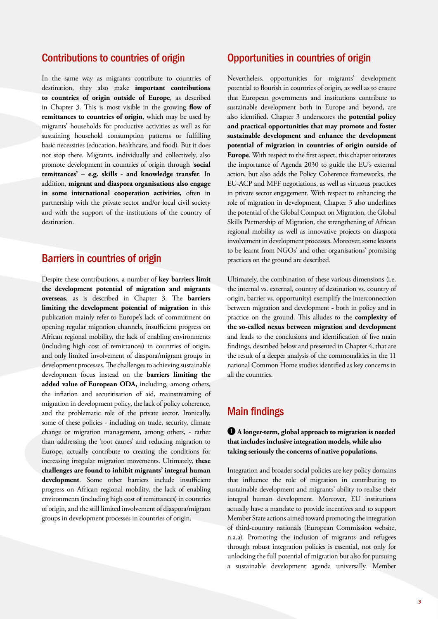#### Contributions to countries of origin

In the same way as migrants contribute to countries of destination, they also make **important contributions to countries of origin outside of Europe**, as described in Chapter 3. This is most visible in the growing **flow of remittances to countries of origin**, which may be used by migrants' households for productive activities as well as for sustaining household consumption patterns or fulfilling basic necessities (education, healthcare, and food). But it does not stop there. Migrants, individually and collectively, also promote development in countries of origin through '**social remittances' – e.g. skills - and knowledge transfer**. In addition, **migrant and diaspora organisations also engage in some international cooperation activities,** often in partnership with the private sector and/or local civil society and with the support of the institutions of the country of destination.

#### Barriers in countries of origin

Despite these contributions, a number of **key barriers limit the development potential of migration and migrants overseas**, as is described in Chapter 3. The **barriers limiting the development potential of migration** in this publication mainly refer to Europe's lack of commitment on opening regular migration channels, insufficient progress on African regional mobility, the lack of enabling environments (including high cost of remittances) in countries of origin, and only limited involvement of diaspora/migrant groups in development processes. The challenges to achieving sustainable development focus instead on the **barriers limiting the added value of European ODA,** including, among others, the inflation and securitisation of aid, mainstreaming of migration in development policy, the lack of policy coherence, and the problematic role of the private sector. Ironically, some of these policies - including on trade, security, climate change or migration management, among others, - rather than addressing the 'root causes' and reducing migration to Europe, actually contribute to creating the conditions for increasing irregular migration movements. Ultimately, **these challenges are found to inhibit migrants' integral human development**. Some other barriers include insufficient progress on African regional mobility, the lack of enabling environments (including high cost of remittances) in countries of origin, and the still limited involvement of diaspora/migrant groups in development processes in countries of origin.

#### Opportunities in countries of origin

Nevertheless, opportunities for migrants' development potential to flourish in countries of origin, as well as to ensure that European governments and institutions contribute to sustainable development both in Europe and beyond, are also identified. Chapter 3 underscores the **potential policy and practical opportunities that may promote and foster sustainable development and enhance the development potential of migration in countries of origin outside of Europe**. With respect to the first aspect, this chapter reiterates the importance of Agenda 2030 to guide the EU's external action, but also adds the Policy Coherence frameworks, the EU-ACP and MFF negotiations, as well as virtuous practices in private sector engagement. With respect to enhancing the role of migration in development, Chapter 3 also underlines the potential of the Global Compact on Migration, the Global Skills Partnership of Migration, the strengthening of African regional mobility as well as innovative projects on diaspora involvement in development processes. Moreover, some lessons to be learnt from NGOs' and other organisations' promising practices on the ground are described.

Ultimately, the combination of these various dimensions (i.e. the internal vs. external, country of destination vs. country of origin, barrier vs. opportunity) exemplify the interconnection between migration and development - both in policy and in practice on the ground. This alludes to the **complexity of the so-called nexus between migration and development** and leads to the conclusions and identification of five main findings, described below and presented in Chapter 4, that are the result of a deeper analysis of the commonalities in the 11 national Common Home studies identified as key concerns in all the countries.

#### Main findings

 $\bullet$  **A longer-term, global approach to migration is needed that includes inclusive integration models, while also taking seriously the concerns of native populations.**

Integration and broader social policies are key policy domains that influence the role of migration in contributing to sustainable development and migrants' ability to realise their integral human development. Moreover, EU institutions actually have a mandate to provide incentives and to support Member State actions aimed toward promoting the integration of third-country nationals (European Commission website, n.a.a). Promoting the inclusion of migrants and refugees through robust integration policies is essential, not only for unlocking the full potential of migration but also for pursuing a sustainable development agenda universally. Member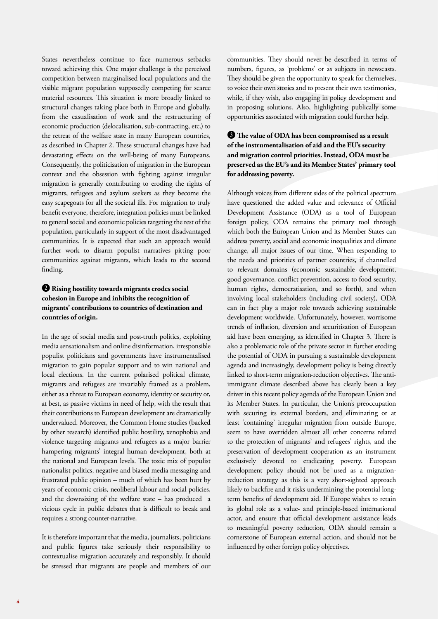States nevertheless continue to face numerous setbacks toward achieving this. One major challenge is the perceived competition between marginalised local populations and the visible migrant population supposedly competing for scarce material resources. This situation is more broadly linked to structural changes taking place both in Europe and globally, from the casualisation of work and the restructuring of economic production (delocalisation, sub-contracting, etc.) to the retreat of the welfare state in many European countries, as described in Chapter 2. These structural changes have had devastating effects on the well-being of many Europeans. Consequently, the politicisation of migration in the European context and the obsession with fighting against irregular migration is generally contributing to eroding the rights of migrants, refugees and asylum seekers as they become the easy scapegoats for all the societal ills. For migration to truly benefit everyone, therefore, integration policies must be linked to general social and economic policies targeting the rest of the population, particularly in support of the most disadvantaged communities. It is expected that such an approach would further work to disarm populist narratives pitting poor communities against migrants, which leads to the second finding.

#### C **Rising hostility towards migrants erodes social cohesion in Europe and inhibits the recognition of migrants' contributions to countries of destination and countries of origin.**

In the age of social media and post-truth politics, exploiting media sensationalism and online disinformation, irresponsible populist politicians and governments have instrumentalised migration to gain popular support and to win national and local elections. In the current polarised political climate, migrants and refugees are invariably framed as a problem, either as a threat to European economy, identity or security or, at best, as passive victims in need of help, with the result that their contributions to European development are dramatically undervalued. Moreover, the Common Home studies (backed by other research) identified public hostility, xenophobia and violence targeting migrants and refugees as a major barrier hampering migrants' integral human development, both at the national and European levels. The toxic mix of populist nationalist politics, negative and biased media messaging and frustrated public opinion – much of which has been hurt by years of economic crisis, neoliberal labour and social policies, and the downsizing of the welfare state – has produced a vicious cycle in public debates that is difficult to break and requires a strong counter-narrative.

It is therefore important that the media, journalists, politicians and public figures take seriously their responsibility to contextualise migration accurately and responsibly. It should be stressed that migrants are people and members of our

communities. They should never be described in terms of numbers, figures, as 'problems' or as subjects in newscasts. They should be given the opportunity to speak for themselves, to voice their own stories and to present their own testimonies, while, if they wish, also engaging in policy development and in proposing solutions. Also, highlighting publically some opportunities associated with migration could further help.

D **The value of ODA has been compromised as a result of the instrumentalisation of aid and the EU's security and migration control priorities. Instead, ODA must be preserved as the EU's and its Member States' primary tool for addressing poverty.** 

Although voices from different sides of the political spectrum have questioned the added value and relevance of Official Development Assistance (ODA) as a tool of European foreign policy, ODA remains the primary tool through which both the European Union and its Member States can address poverty, social and economic inequalities and climate change, all major issues of our time. When responding to the needs and priorities of partner countries, if channelled to relevant domains (economic sustainable development, good governance, conflict prevention, access to food security, human rights, democratisation, and so forth), and when involving local stakeholders (including civil society), ODA can in fact play a major role towards achieving sustainable development worldwide. Unfortunately, however, worrisome trends of inflation, diversion and securitisation of European aid have been emerging, as identified in Chapter 3. There is also a problematic role of the private sector in further eroding the potential of ODA in pursuing a sustainable development agenda and increasingly, development policy is being directly linked to short-term migration-reduction objectives. The antiimmigrant climate described above has clearly been a key driver in this recent policy agenda of the European Union and its Member States. In particular, the Union's preoccupation with securing its external borders, and eliminating or at least 'containing' irregular migration from outside Europe, seem to have overridden almost all other concerns related to the protection of migrants' and refugees' rights, and the preservation of development cooperation as an instrument exclusively devoted to eradicating poverty. European development policy should not be used as a migrationreduction strategy as this is a very short-sighted approach likely to backfire and it risks undermining the potential longterm benefits of development aid. If Europe wishes to retain its global role as a value- and principle-based international actor, and ensure that official development assistance leads to meaningful poverty reduction, ODA should remain a cornerstone of European external action, and should not be influenced by other foreign policy objectives.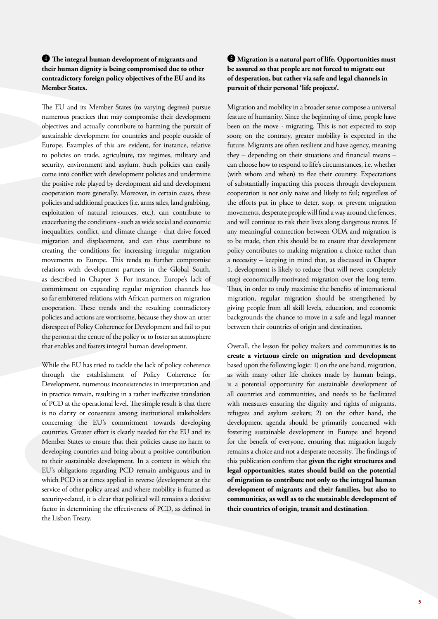#### E **The integral human development of migrants and their human dignity is being compromised due to other contradictory foreign policy objectives of the EU and its Member States.**

The EU and its Member States (to varying degrees) pursue numerous practices that may compromise their development objectives and actually contribute to harming the pursuit of sustainable development for countries and people outside of Europe. Examples of this are evident, for instance, relative to policies on trade, agriculture, tax regimes, military and security, environment and asylum. Such policies can easily come into conflict with development policies and undermine the positive role played by development aid and development cooperation more generally. Moreover, in certain cases, these policies and additional practices (i.e. arms sales, land grabbing, exploitation of natural resources, etc.), can contribute to exacerbating the conditions - such as wide social and economic inequalities, conflict, and climate change - that drive forced migration and displacement, and can thus contribute to creating the conditions for increasing irregular migration movements to Europe. This tends to further compromise relations with development partners in the Global South, as described in Chapter 3. For instance, Europe's lack of commitment on expanding regular migration channels has so far embittered relations with African partners on migration cooperation. These trends and the resulting contradictory policies and actions are worrisome, because they show an utter disrespect of Policy Coherence for Development and fail to put the person at the centre of the policy or to foster an atmosphere that enables and fosters integral human development.

While the EU has tried to tackle the lack of policy coherence through the establishment of Policy Coherence for Development, numerous inconsistencies in interpretation and in practice remain, resulting in a rather ineffective translation of PCD at the operational level. The simple result is that there is no clarity or consensus among institutional stakeholders concerning the EU's commitment towards developing countries. Greater effort is clearly needed for the EU and its Member States to ensure that their policies cause no harm to developing countries and bring about a positive contribution to their sustainable development. In a context in which the EU's obligations regarding PCD remain ambiguous and in which PCD is at times applied in reverse (development at the service of other policy areas) and where mobility is framed as security-related, it is clear that political will remains a decisive factor in determining the effectiveness of PCD, as defined in the Lisbon Treaty.

#### F **Migration is a natural part of life. Opportunities must be assured so that people are not forced to migrate out of desperation, but rather via safe and legal channels in pursuit of their personal 'life projects'.**

Migration and mobility in a broader sense compose a universal feature of humanity. Since the beginning of time, people have been on the move - migrating. This is not expected to stop soon; on the contrary, greater mobility is expected in the future. Migrants are often resilient and have agency, meaning they – depending on their situations and financial means – can choose how to respond to life's circumstances, i.e. whether (with whom and when) to flee their country. Expectations of substantially impacting this process through development cooperation is not only naive and likely to fail; regardless of the efforts put in place to deter, stop, or prevent migration movements, desperate people will find a way around the fences, and will continue to risk their lives along dangerous routes. If any meaningful connection between ODA and migration is to be made, then this should be to ensure that development policy contributes to making migration a choice rather than a necessity – keeping in mind that, as discussed in Chapter 1, development is likely to reduce (but will never completely stop) economically-motivated migration over the long term. Thus, in order to truly maximise the benefits of international migration, regular migration should be strengthened by giving people from all skill levels, education, and economic backgrounds the chance to move in a safe and legal manner between their countries of origin and destination.

Overall, the lesson for policy makers and communities **is to create a virtuous circle on migration and development** based upon the following logic: 1) on the one hand, migration, as with many other life choices made by human beings, is a potential opportunity for sustainable development of all countries and communities, and needs to be facilitated with measures ensuring the dignity and rights of migrants, refugees and asylum seekers; 2) on the other hand, the development agenda should be primarily concerned with fostering sustainable development in Europe and beyond for the benefit of everyone, ensuring that migration largely remains a choice and not a desperate necessity. The findings of this publication confirm that **given the right structures and legal opportunities, states should build on the potential of migration to contribute not only to the integral human development of migrants and their families, but also to communities, as well as to the sustainable development of their countries of origin, transit and destination**.